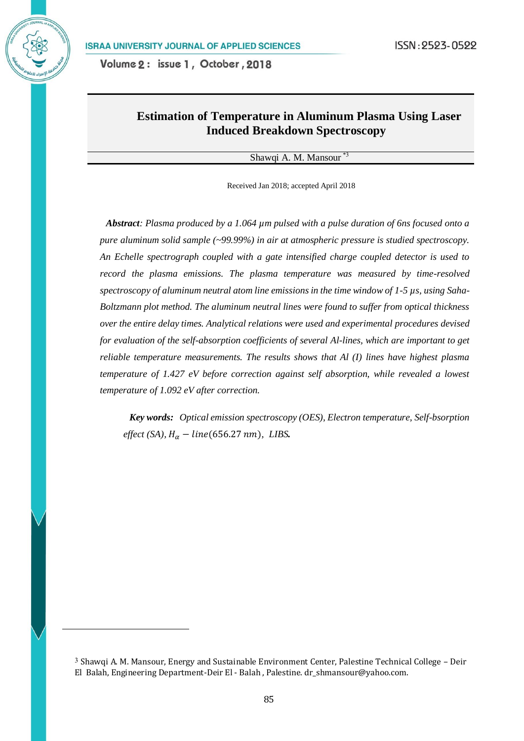# **Estimation of Temperature in Aluminum Plasma Using Laser Induced Breakdown Spectroscopy**

#### Shawqi A. M. Mansour \*3

Received Jan 2018; accepted April 2018

*Abstract: Plasma produced by a 1.064 µm pulsed with a pulse duration of 6ns focused onto a pure aluminum solid sample (~99.99%) in air at atmospheric pressure is studied spectroscopy. An Echelle spectrograph coupled with a gate intensified charge coupled detector is used to record the plasma emissions. The plasma temperature was measured by time-resolved spectroscopy of aluminum neutral atom line emissions in the time window of 1-5 µs, using Saha-Boltzmann plot method. The aluminum neutral lines were found to suffer from optical thickness over the entire delay times. Analytical relations were used and experimental procedures devised for evaluation of the self-absorption coefficients of several Al-lines, which are important to get reliable temperature measurements. The results shows that Al (I) lines have highest plasma temperature of 1.427 eV before correction against self absorption, while revealed a lowest temperature of 1.092 eV after correction.*

*Key words: Optical emission spectroscopy (OES), Electron temperature, Self-bsorption effect* (SA),  $H_{\alpha}$  – line(656.27 nm), LIBS.

l

<sup>3</sup> Shawqi A. M. Mansour, Energy and Sustainable Environment Center, Palestine Technical College – Deir El Balah, Engineering Department-Deir El - Balah , Palestine. [dr\\_shmansour@yahoo.com.](mailto:dr_shmansour@yahoo.com)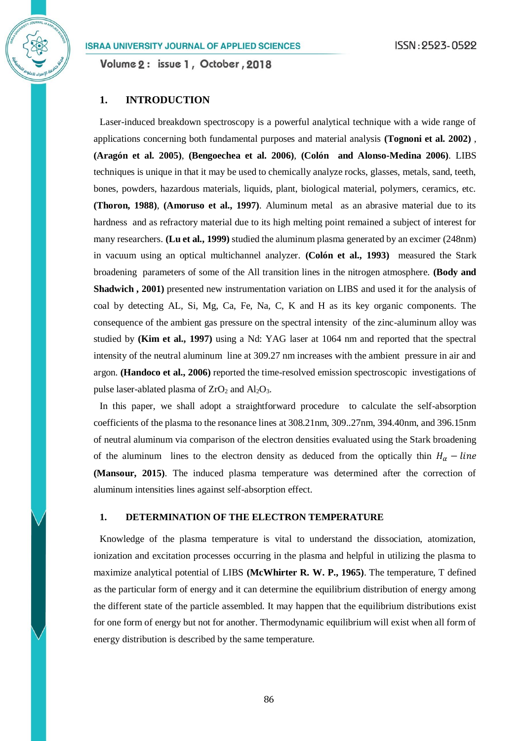Volume 2: issue 1, October, 2018

# **1. INTRODUCTION**

Laser-induced breakdown spectroscopy is a powerful analytical technique with a wide range of applications concerning both fundamental purposes and material analysis **(Tognoni et al. 2002)** , **(Aragón et al. 2005)**, **(Bengoechea et al. 2006)**, **(Colón and Alonso-Medina 2006)**. LIBS techniques is unique in that it may be used to chemically analyze rocks, glasses, metals, sand, teeth, bones, powders, hazardous materials, liquids, plant, biological material, polymers, ceramics, etc. **(Thoron, 1988)**, **(Amoruso et al., 1997)**. Aluminum metal as an abrasive material due to its hardness and as refractory material due to its high melting point remained a subject of interest for many researchers. **(Lu et al., 1999)** studied the aluminum plasma generated by an excimer (248nm) in vacuum using an optical multichannel analyzer. **(Colón et al., 1993)** measured the Stark broadening parameters of some of the All transition lines in the nitrogen atmosphere. **(Body and Shadwich , 2001)** presented new instrumentation variation on LIBS and used it for the analysis of coal by detecting AL, Si, Mg, Ca, Fe, Na, C, K and H as its key organic components. The consequence of the ambient gas pressure on the spectral intensity of the zinc-aluminum alloy was studied by **(Kim et al., 1997)** using a Nd: YAG laser at 1064 nm and reported that the spectral intensity of the neutral aluminum line at 309.27 nm increases with the ambient pressure in air and argon. **(Handoco et al., 2006)** reported the time-resolved emission spectroscopic investigations of pulse laser-ablated plasma of  $ZrO<sub>2</sub>$  and  $Al<sub>2</sub>O<sub>3</sub>$ .

In this paper, we shall adopt a straightforward procedure to calculate the self-absorption coefficients of the plasma to the resonance lines at 308.21nm, 309..27nm, 394.40nm, and 396.15nm of neutral aluminum via comparison of the electron densities evaluated using the Stark broadening of the aluminum lines to the electron density as deduced from the optically thin  $H_{\alpha}$  – line **(Mansour, 2015)**. The induced plasma temperature was determined after the correction of aluminum intensities lines against self-absorption effect.

# **1. DETERMINATION OF THE ELECTRON TEMPERATURE**

Knowledge of the plasma temperature is vital to understand the dissociation, atomization, ionization and excitation processes occurring in the plasma and helpful in utilizing the plasma to maximize analytical potential of LIBS **(McWhirter R. W. P., 1965)**. The temperature, T defined as the particular form of energy and it can determine the equilibrium distribution of energy among the different state of the particle assembled. It may happen that the equilibrium distributions exist for one form of energy but not for another. Thermodynamic equilibrium will exist when all form of energy distribution is described by the same temperature.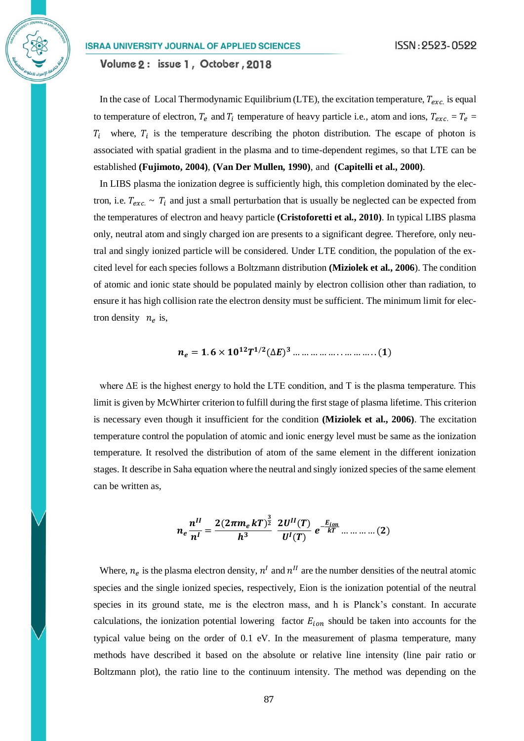Volume 2: issue 1, October, 2018

In the case of Local Thermodynamic Equilibrium (LTE), the excitation temperature,  $T_{exc}$  is equal to temperature of electron,  $T_e$  and  $T_i$  temperature of heavy particle i.e., atom and ions,  $T_{exc} = T_e =$  $T_i$  where,  $T_i$  is the temperature describing the photon distribution. The escape of photon is associated with spatial gradient in the plasma and to time-dependent regimes, so that LTE can be established **(Fujimoto, 2004)**, **(Van Der Mullen, 1990)**, and **(Capitelli et al., 2000)**.

In LIBS plasma the ionization degree is sufficiently high, this completion dominated by the electron, i.e.  $T_{exc.} \sim T_i$  and just a small perturbation that is usually be neglected can be expected from the temperatures of electron and heavy particle **(Cristoforetti et al., 2010)**. In typical LIBS plasma only, neutral atom and singly charged ion are presents to a significant degree. Therefore, only neutral and singly ionized particle will be considered. Under LTE condition, the population of the excited level for each species follows a Boltzmann distribution **(Miziolek et al., 2006**). The condition of atomic and ionic state should be populated mainly by electron collision other than radiation, to ensure it has high collision rate the electron density must be sufficient. The minimum limit for electron density  $n_e$  is,

$$
n_e = 1.6 \times 10^{12} T^{1/2} (\Delta E)^3 \dots \dots \dots \dots \dots \dots \dots \dots (1)
$$

where  $\Delta E$  is the highest energy to hold the LTE condition, and T is the plasma temperature. This limit is given by McWhirter criterion to fulfill during the first stage of plasma lifetime. This criterion is necessary even though it insufficient for the condition **(Miziolek et al., 2006)**. The excitation temperature control the population of atomic and ionic energy level must be same as the ionization temperature. It resolved the distribution of atom of the same element in the different ionization stages. It describe in Saha equation where the neutral and singly ionized species of the same element can be written as,

$$
n_e \frac{n^{II}}{n^I} = \frac{2(2\pi m_e kT)^{\frac{3}{2}}}{h^3} \frac{2U^{II}(T)}{U^I(T)} e^{-\frac{E_{ion}}{kT}} \dots \dots \dots \dots (2)
$$

Where,  $n_e$  is the plasma electron density,  $n^I$  and  $n^{II}$  are the number densities of the neutral atomic species and the single ionized species, respectively, Eion is the ionization potential of the neutral species in its ground state, me is the electron mass, and h is Planck's constant. In accurate calculations, the ionization potential lowering factor  $E_{ion}$  should be taken into accounts for the typical value being on the order of 0.1 eV. In the measurement of plasma temperature, many methods have described it based on the absolute or relative line intensity (line pair ratio or Boltzmann plot), the ratio line to the continuum intensity. The method was depending on the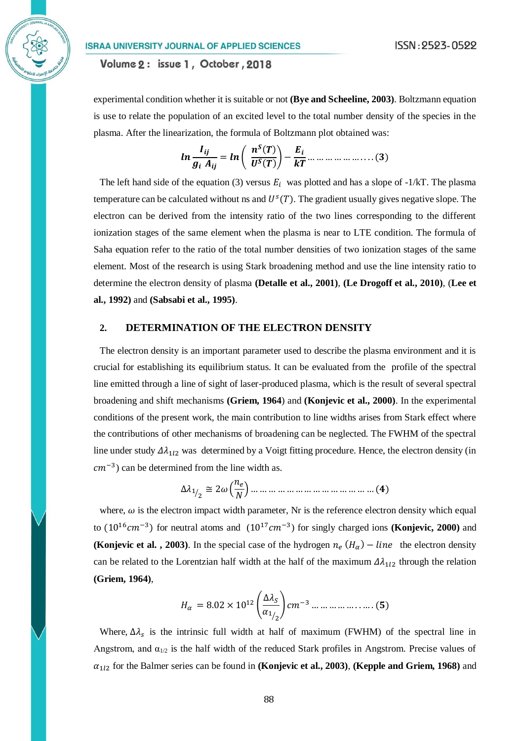Volume 2: issue 1, October, 2018

experimental condition whether it is suitable or not **(Bye and Scheeline, 2003)**. Boltzmann equation is use to relate the population of an excited level to the total number density of the species in the plasma. After the linearization, the formula of Boltzmann plot obtained was:

$$
ln \frac{I_{ij}}{g_i A_{ij}} = ln \left( \frac{n^S(T)}{U^S(T)} \right) - \frac{E_i}{kT} \dots \dots \dots \dots \dots \dots \dots \dots \dots \tag{3}
$$

The left hand side of the equation (3) versus  $E_i$  was plotted and has a slope of -1/kT. The plasma temperature can be calculated without ns and  $U^s(T)$ . The gradient usually gives negative slope. The electron can be derived from the intensity ratio of the two lines corresponding to the different ionization stages of the same element when the plasma is near to LTE condition. The formula of Saha equation refer to the ratio of the total number densities of two ionization stages of the same element. Most of the research is using Stark broadening method and use the line intensity ratio to determine the electron density of plasma **(Detalle et al., 2001)**, **(Le Drogoff et al., 2010)**, (**Lee et al., 1992)** and **(Sabsabi et al., 1995)**.

#### **2. DETERMINATION OF THE ELECTRON DENSITY**

The electron density is an important parameter used to describe the plasma environment and it is crucial for establishing its equilibrium status. It can be evaluated from the profile of the spectral line emitted through a line of sight of laser-produced plasma, which is the result of several spectral broadening and shift mechanisms **(Griem, 1964**) and **(Konjevic et al., 2000)**. In the experimental conditions of the present work, the main contribution to line widths arises from Stark effect where the contributions of other mechanisms of broadening can be neglected. The FWHM of the spectral line under study  $\Delta \lambda_{1l2}$  was determined by a Voigt fitting procedure. Hence, the electron density (in  $cm^{-3}$ ) can be determined from the line width as.

$$
\Delta \lambda_{1/2} \cong 2\omega \left(\frac{n_e}{N}\right) \dots \dots \dots \dots \dots \dots \dots \dots \dots \dots \dots \dots \dots \dots (4)
$$

where,  $\omega$  is the electron impact width parameter, Nr is the reference electron density which equal to  $(10^{16} \text{cm}^{-3})$  for neutral atoms and  $(10^{17} \text{cm}^{-3})$  for singly charged ions **(Konjevic, 2000)** and **(Konjevic et al., 2003)**. In the special case of the hydrogen  $n_e$  ( $H_\alpha$ ) – line the electron density can be related to the Lorentzian half width at the half of the maximum  $\Delta \lambda_{1/2}$  through the relation **(Griem, 1964)**,

$$
H_{\alpha} = 8.02 \times 10^{12} \left( \frac{\Delta \lambda_{S}}{\alpha_{1/2}} \right) cm^{-3} \dots \dots \dots \dots \dots \dots \dots (5)
$$

Where,  $\Delta \lambda_s$  is the intrinsic full width at half of maximum (FWHM) of the spectral line in Angstrom, and  $\alpha_{1/2}$  is the half width of the reduced Stark profiles in Angstrom. Precise values of  $\alpha_{112}$  for the Balmer series can be found in **(Konjevic et al., 2003)**, **(Kepple and Griem, 1968)** and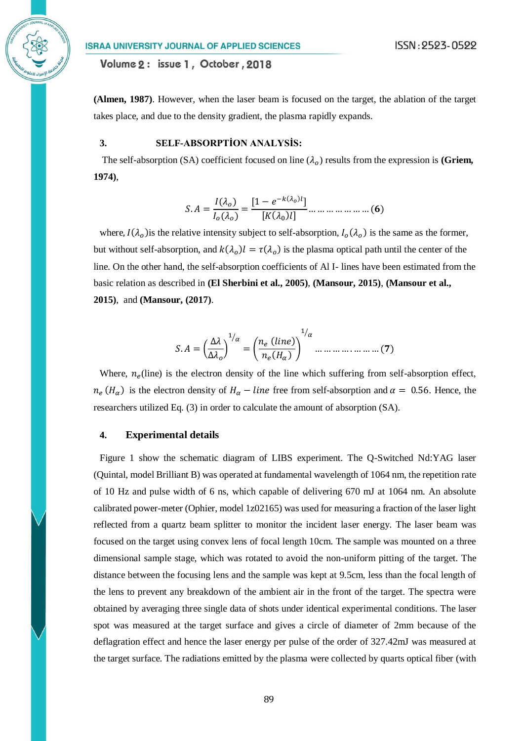Volume 2: issue 1, October, 2018

**(Almen, 1987)**. However, when the laser beam is focused on the target, the ablation of the target takes place, and due to the density gradient, the plasma rapidly expands.

# **3. SELF-ABSORPTİON ANALYSİS:**

The self-absorption (SA) coefficient focused on line  $(\lambda_o)$  results from the expression is (Griem, **1974)**,

. = () () = [1 − −( ) ] [(<sup>0</sup> )] … … … … … … … ()

where,  $I(\lambda_0)$  is the relative intensity subject to self-absorption,  $I_0(\lambda_0)$  is the same as the former, but without self-absorption, and  $k(\lambda_o)l = \tau(\lambda_o)$  is the plasma optical path until the center of the line. On the other hand, the self-absorption coefficients of Al I- lines have been estimated from the basic relation as described in **(El Sherbini et al., 2005)**, **(Mansour, 2015)**, **(Mansour et al., 2015)**, and **(Mansour, (2017)**.

$$
S. A = \left(\frac{\Delta\lambda}{\Delta\lambda_o}\right)^{1/\alpha} = \left(\frac{n_e \ (line)}{n_e (H_\alpha)}\right)^{1/\alpha} \dots \dots \dots \dots \dots \dots \dots (7)
$$

Where,  $n_e$ (line) is the electron density of the line which suffering from self-absorption effect,  $n_e$  (H<sub>a</sub>) is the electron density of  $H_\alpha$  – line free from self-absorption and  $\alpha = 0.56$ . Hence, the researchers utilized Eq. (3) in order to calculate the amount of absorption (SA).

## **4. Experimental details**

Figure 1 show the schematic diagram of LIBS experiment. The Q-Switched Nd:YAG laser (Quintal, model Brilliant B) was operated at fundamental wavelength of 1064 nm, the repetition rate of 10 Hz and pulse width of 6 ns, which capable of delivering 670 mJ at 1064 nm. An absolute calibrated power-meter (Ophier, model 1z02165) was used for measuring a fraction of the laser light reflected from a quartz beam splitter to monitor the incident laser energy. The laser beam was focused on the target using convex lens of focal length 10cm. The sample was mounted on a three dimensional sample stage, which was rotated to avoid the non-uniform pitting of the target. The distance between the focusing lens and the sample was kept at 9.5cm, less than the focal length of the lens to prevent any breakdown of the ambient air in the front of the target. The spectra were obtained by averaging three single data of shots under identical experimental conditions. The laser spot was measured at the target surface and gives a circle of diameter of 2mm because of the deflagration effect and hence the laser energy per pulse of the order of 327.42mJ was measured at the target surface. The radiations emitted by the plasma were collected by quarts optical fiber (with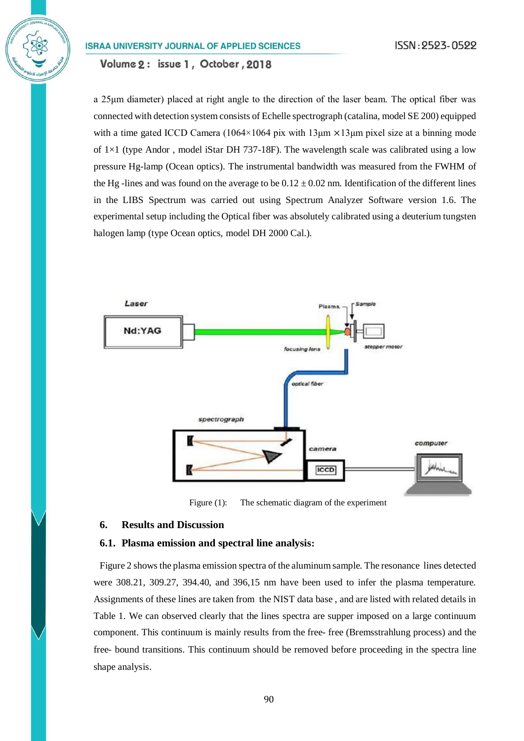Volume 2: issue 1, October, 2018

a 25μm diameter) placed at right angle to the direction of the laser beam. The optical fiber was connected with detection system consists of Echelle spectrograph (catalina, model SE 200) equipped with a time gated ICCD Camera (1064×1064 pix with 13<sub>um</sub>  $\times$ 13<sub>um</sub> pixel size at a binning mode of  $1\times1$  (type Andor, model iStar DH 737-18F). The wavelength scale was calibrated using a low pressure Hg-lamp (Ocean optics). The instrumental bandwidth was measured from the FWHM of the Hg -lines and was found on the average to be  $0.12 \pm 0.02$  nm. Identification of the different lines in the LIBS Spectrum was carried out using Spectrum Analyzer Software version 1.6. The experimental setup including the Optical fiber was absolutely calibrated using a deuterium tungsten halogen lamp (type Ocean optics, model DH 2000 Cal.).



Figure (1): The schematic diagram of the experiment

# **6. Results and Discussion**

### **6.1. Plasma emission and spectral line analysis:**

Figure 2 shows the plasma emission spectra of the aluminum sample. The resonance lines detected were 308.21, 309.27, 394.40, and 396,15 nm have been used to infer the plasma temperature. Assignments of these lines are taken from the NIST data base , and are listed with related details in Table 1. We can observed clearly that the lines spectra are supper imposed on a large continuum component. This continuum is mainly results from the free- free (Bremsstrahlung process) and the free- bound transitions. This continuum should be removed before proceeding in the spectra line shape analysis.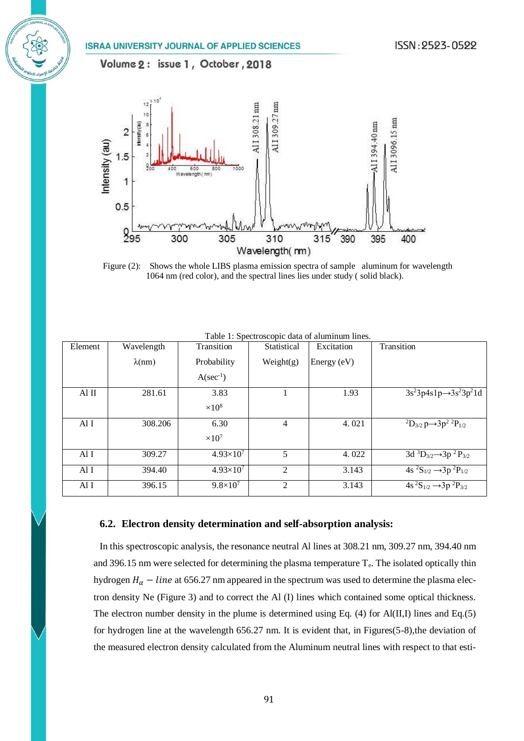Volume 2: issue 1, October, 2018



Figure (2): Shows the whole LIBS plasma emission spectra of sample aluminum for wavelength 1064 nm (red color), and the spectral lines lies under study ( solid black).

| Element | Wavelength     | Transition           | Statistical    | Excitation  | Transition                                                      |
|---------|----------------|----------------------|----------------|-------------|-----------------------------------------------------------------|
|         | $\lambda$ (nm) | Probability          | Weight(g)      | Energy (eV) |                                                                 |
|         |                | $A(\sec^{-1})$       |                |             |                                                                 |
| Al II   | 281.61         | 3.83                 |                | 1.93        | $3s^23p4s1p \rightarrow 3s^23p^21d$                             |
|         |                | $\times 10^8$        |                |             |                                                                 |
| Al I    | 308.206        | 6.30                 | 4              | 4.021       | ${}^{2}D_{3/2} p \rightarrow 3p^{2} {}^{2}P_{1/2}$              |
|         |                | $\times 10^7$        |                |             |                                                                 |
| Al I    | 309.27         | $4.93\times10^{7}$   | 5              | 4.022       | 3d ${}^3D_{3/2}$ $\rightarrow$ 3p ${}^2P_{3/2}$                 |
| Al I    | 394.40         | $4.93 \times 10^{7}$ | $\overline{c}$ | 3.143       | $\frac{1}{4s}$ ${}^{2}S_{1/2}$ $\rightarrow$ 3p ${}^{2}P_{1/2}$ |
| Al I    | 396.15         | $9.8 \times 10^7$    | 2              | 3.143       | $\frac{1}{4s^2S_{1/2}} \rightarrow 3p^2P_{3/2}$                 |

Table 1: Spectroscopic data of aluminum lines.

## **6.2. Electron density determination and self-absorption analysis:**

In this spectroscopic analysis, the resonance neutral Al lines at 308.21 nm, 309.27 nm, 394.40 nm and 396.15 nm were selected for determining the plasma temperature  $T_e$ . The isolated optically thin hydrogen  $H_{\alpha}$  – *line* at 656.27 nm appeared in the spectrum was used to determine the plasma electron density Ne (Figure 3) and to correct the Al (I) lines which contained some optical thickness. The electron number density in the plume is determined using Eq. (4) for Al(II,I) lines and Eq.(5) for hydrogen line at the wavelength 656.27 nm. It is evident that, in Figures(5-8),the deviation of the measured electron density calculated from the Aluminum neutral lines with respect to that esti-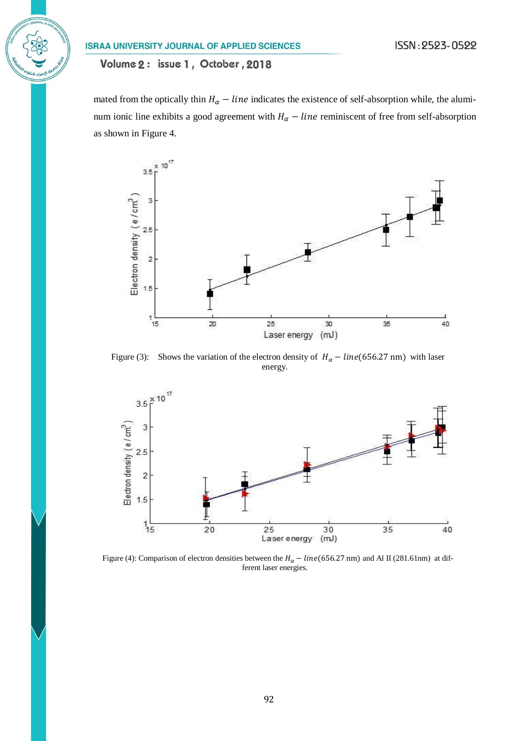# Volume 2: issue 1, October, 2018

mated from the optically thin  $H_{\alpha}$  – *line* indicates the existence of self-absorption while, the aluminum ionic line exhibits a good agreement with  $H_{\alpha}$  – *line* reminiscent of free from self-absorption as shown in Figure 4.



Figure (3): Shows the variation of the electron density of  $H_\alpha - line(656.27 \text{ nm})$  with laser energy.



Figure (4): Comparison of electron densities between the  $H_{\alpha}$  – line (656.27 nm) and Al II (281.61nm) at different laser energies.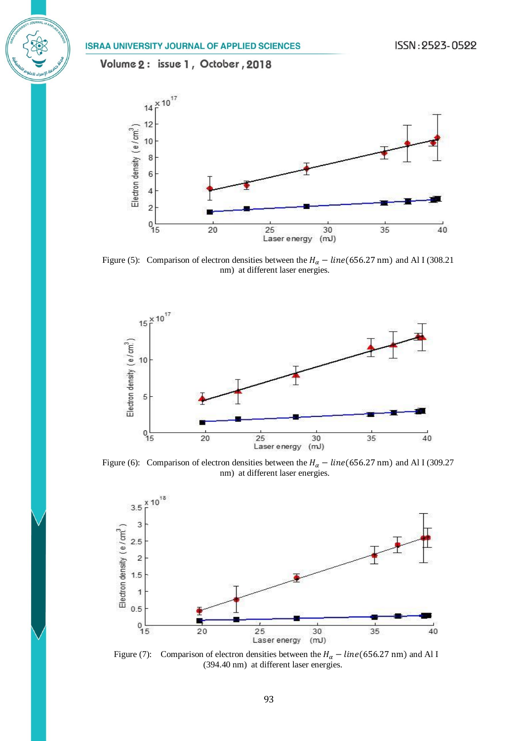

Figure (5): Comparison of electron densities between the  $H_{\alpha}$  – line (656.27 nm) and Al I (308.21 nm) at different laser energies.



Figure (6): Comparison of electron densities between the  $H_{\alpha} - line(656.27 \text{ nm})$  and Al I (309.27 nm) at different laser energies.



Figure (7): Comparison of electron densities between the  $H_{\alpha}$  – line(656.27 nm) and Al I (394.40 nm) at different laser energies.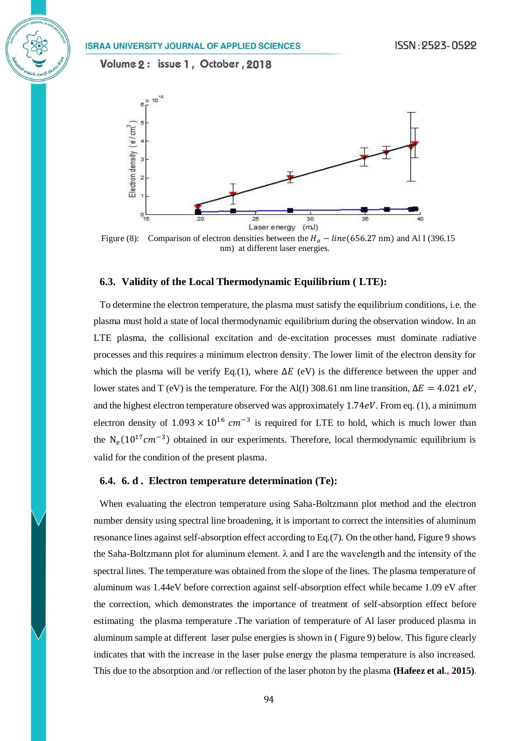

Figure (8): Comparison of electron densities between the  $H_{\alpha}$  – line (656.27 nm) and Al I (396.15 nm) at different laser energies.

## **6.3. Validity of the Local Thermodynamic Equilibrium ( LTE):**

To determine the electron temperature, the plasma must satisfy the equilibrium conditions, i.e. the plasma must hold a state of local thermodynamic equilibrium during the observation window. In an LTE plasma, the collisional excitation and de-excitation processes must dominate radiative processes and this requires a minimum electron density. The lower limit of the electron density for which the plasma will be verify Eq.(1), where  $\Delta E$  (eV) is the difference between the upper and lower states and T (eV) is the temperature. For the Al(I) 308.61 nm line transition,  $\Delta E = 4.021 \text{ eV}$ , and the highest electron temperature observed was approximately  $1.74eV$ . From eq. (1), a minimum electron density of  $1.093 \times 10^{16}$  cm<sup>-3</sup> is required for LTE to hold, which is much lower than the  $N_e(10^{17}cm^{-3})$  obtained in our experiments. Therefore, local thermodynamic equilibrium is valid for the condition of the present plasma.

## **6.4. 6. d . Electron temperature determination (Te):**

When evaluating the electron temperature using Saha-Boltzmann plot method and the electron number density using spectral line broadening, it is important to correct the intensities of aluminum resonance lines against self-absorption effect according to Eq.(7). On the other hand, Figure 9 shows the Saha-Boltzmann plot for aluminum element. λ and I are the wavelength and the intensity of the spectral lines. The temperature was obtained from the slope of the lines. The plasma temperature of aluminum was 1.44eV before correction against self-absorption effect while became 1.09 eV after the correction, which demonstrates the importance of treatment of self-absorption effect before estimating the plasma temperature .The variation of temperature of Al laser produced plasma in aluminum sample at different laser pulse energies is shown in ( Figure 9) below. This figure clearly indicates that with the increase in the laser pulse energy the plasma temperature is also increased. This due to the absorption and /or reflection of the laser photon by the plasma **(Hafeez et al., 2015)**.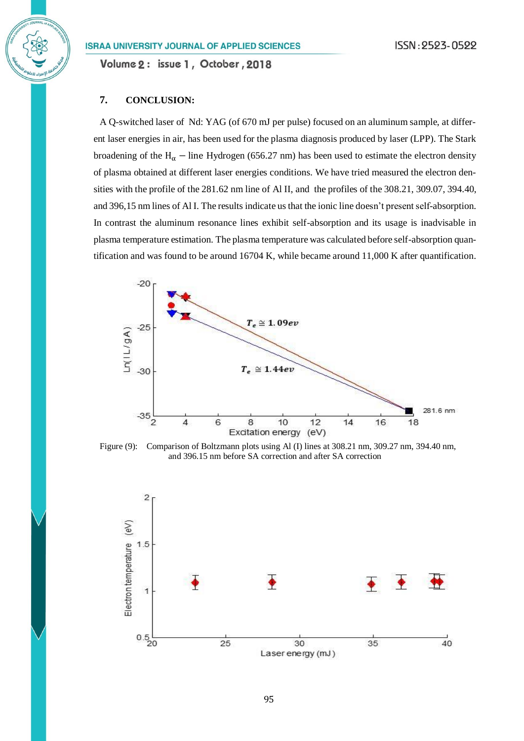Volume 2: issue 1, October, 2018

# **7. CONCLUSION:**

A Q-switched laser of Nd: YAG (of 670 mJ per pulse) focused on an aluminum sample, at different laser energies in air, has been used for the plasma diagnosis produced by laser (LPP). The Stark broadening of the H<sub>α</sub> – line Hydrogen (656.27 nm) has been used to estimate the electron density of plasma obtained at different laser energies conditions. We have tried measured the electron densities with the profile of the 281.62 nm line of Al II, and the profiles of the 308.21, 309.07, 394.40, and 396,15 nm lines of Al I. The results indicate us that the ionic line doesn't present self-absorption. In contrast the aluminum resonance lines exhibit self-absorption and its usage is inadvisable in plasma temperature estimation. The plasma temperature was calculated before self-absorption quantification and was found to be around 16704 K, while became around 11,000 K after quantification.



Figure (9): Comparison of Boltzmann plots using Al (I) lines at 308.21 nm, 309.27 nm, 394.40 nm, and 396.15 nm before SA correction and after SA correction

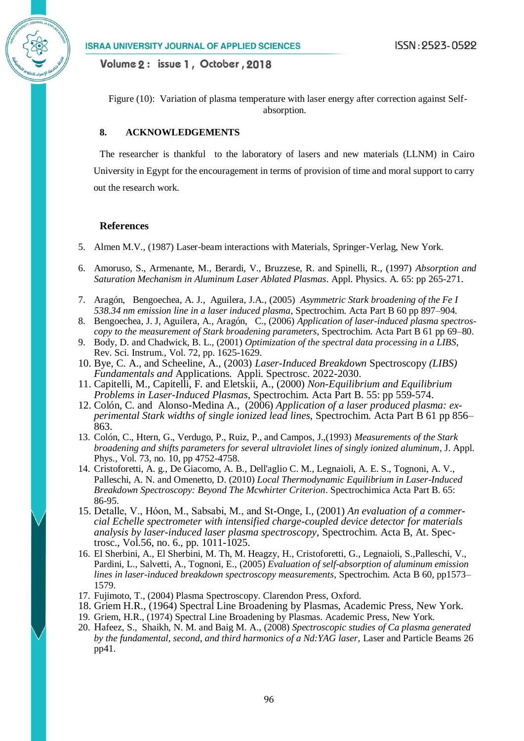Figure (10): Variation of plasma temperature with laser energy after correction against Selfabsorption.

# **8. ACKNOWLEDGEMENTS**

The researcher is thankful to the laboratory of lasers and new materials (LLNM) in Cairo University in Egypt for the encouragement in terms of provision of time and moral support to carry out the research work.

## **References**

- 5. Almen M.V., (1987) Laser-beam interactions with Materials, Springer-Verlag, New York.
- 6. Amoruso, S., Armenante, M., Berardi, V., Bruzzese, R. and Spinelli, R., (1997) *Absorption and Saturation Mechanism in Aluminum Laser Ablated Plasmas*. Appl. Physics. A. 65: pp 265-271.
- 7. Aragón, Bengoechea, A. J., Aguilera, J.A., (2005) *Asymmetric Stark broadening of the Fe I 538.34 nm emission line in a laser induced plasma*, Spectrochim. Acta Part B 60 pp 897–904.
- 8. Bengoechea, J. J, Aguilera, A., Aragón, C., (2006) *Application of laser-induced plasma spectroscopy to the measurement of Stark broadening parameters*, Spectrochim. Acta Part B 61 pp 69–80.
- 9. Body, D. and Chadwick, B. L., (2001) *Optimization of the spectral data processing in a LIBS*, Rev. Sci. Instrum., Vol. 72, pp. 1625-1629.
- 10. Bye, C. A., and Scheeline, A., (2003) *Laser-Induced Breakdown* Spectroscopy *(LIBS) Fundamentals and* Applications*.* Appli. Spectrosc. 2022-2030.
- 11. Capitelli, M., Capitelli, F. and Eletskii, A., (2000) *Non-Equilibrium and Equilibrium Problems in Laser-Induced Plasmas*, Spectrochim. Acta Part B. 55: pp 559-574.
- 12. Colón, C. and Alonso-Medina A., (2006) *Application of a laser produced plasma: experimental Stark widths of single ionized lead lines*, Spectrochim. Acta Part B 61 pp 856– 863.
- 13. Colón, C., Htern, G., Verdugo, P., Ruiz, P., and Campos, J.,(1993) *Measurements of the Stark broadening and shifts parameters for several ultraviolet lines of singly ionized aluminum*, J. Appl. Phys., Vol. 73, no. 10, pp 4752-4758.
- 14. Cristoforetti, A. g., De Giacomo, A. B., Dell'aglio C. M., Legnaioli, A. E. S., Tognoni, A. V., Palleschi, A. N. and Omenetto, D. (2010) *Local Thermodynamic Equilibrium in Laser-Induced Breakdown Spectroscopy: Beyond The Mcwhirter Criterion*. Spectrochimica Acta Part B. 65: 86-95.
- 15. Detalle, V., Hόon, M., Sabsabi, M., and St-Onge, I., (2001) *An evaluation of a commercial Echelle spectrometer with intensified charge-coupled device detector for materials analysis by laser-induced laser plasma spectroscopy*, Spectrochim. Acta B, At. Spectrosc., Vol.56, no. 6., pp. 1011-1025.
- 16. El Sherbini, A., El Sherbini, M. Th, M. Heagzy, H., Cristoforetti, G., Legnaioli, S.,Palleschi, V., Pardini, L., Salvetti, A., Tognoni, E., (2005) *Evaluation of self-absorption of aluminum emission lines in laser-induced breakdown spectroscopy measurements*, Spectrochim. Acta B 60, pp1573– 1579.
- 17. Fujimoto, T., (2004) Plasma Spectroscopy. Clarendon Press, Oxford.
- 18. Griem H.R., (1964) Spectral Line Broadening by Plasmas, Academic Press, New York.
- 19. Griem, H.R., (1974) Spectral Line Broadening by Plasmas. Academic Press, New York.
- 20. Hafeez, S., Shaikh, N. M. and Baig M. A., (2008) *Spectroscopic studies of Ca plasma generated by the fundamental, second, and third harmonics of a Nd:YAG laser,* Laser and Particle Beams 26 pp41.